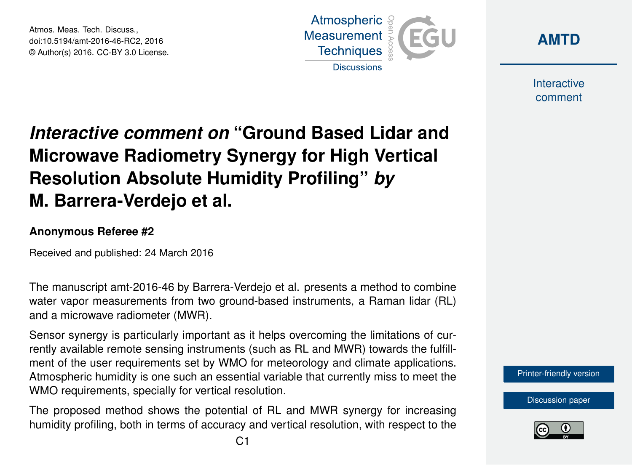Atmos. Meas. Tech. Discuss., doi:10.5194/amt-2016-46-RC2, 2016 © Author(s) 2016. CC-BY 3.0 License.





Interactive comment

## *Interactive comment on* **"Ground Based Lidar and Microwave Radiometry Synergy for High Vertical Resolution Absolute Humidity Profiling"** *by* **M. Barrera-Verdejo et al.**

## **Anonymous Referee #2**

Received and published: 24 March 2016

The manuscript amt-2016-46 by Barrera-Verdejo et al. presents a method to combine water vapor measurements from two ground-based instruments, a Raman lidar (RL) and a microwave radiometer (MWR).

Sensor synergy is particularly important as it helps overcoming the limitations of currently available remote sensing instruments (such as RL and MWR) towards the fulfillment of the user requirements set by WMO for meteorology and climate applications. Atmospheric humidity is one such an essential variable that currently miss to meet the WMO requirements, specially for vertical resolution.

The proposed method shows the potential of RL and MWR synergy for increasing humidity profiling, both in terms of accuracy and vertical resolution, with respect to the



[Discussion paper](http://www.atmos-meas-tech-discuss.net/amt-2016-46)

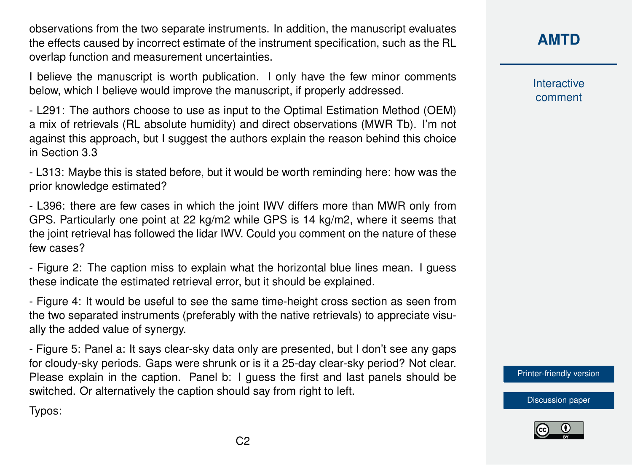observations from the two separate instruments. In addition, the manuscript evaluates the effects caused by incorrect estimate of the instrument specification, such as the RL overlap function and measurement uncertainties.

I believe the manuscript is worth publication. I only have the few minor comments below, which I believe would improve the manuscript, if properly addressed.

- L291: The authors choose to use as input to the Optimal Estimation Method (OEM) a mix of retrievals (RL absolute humidity) and direct observations (MWR Tb). I'm not against this approach, but I suggest the authors explain the reason behind this choice in Section 3.3

- L313: Maybe this is stated before, but it would be worth reminding here: how was the prior knowledge estimated?

- L396: there are few cases in which the joint IWV differs more than MWR only from GPS. Particularly one point at 22 kg/m2 while GPS is 14 kg/m2, where it seems that the joint retrieval has followed the lidar IWV. Could you comment on the nature of these few cases?

- Figure 2: The caption miss to explain what the horizontal blue lines mean. I guess these indicate the estimated retrieval error, but it should be explained.

- Figure 4: It would be useful to see the same time-height cross section as seen from the two separated instruments (preferably with the native retrievals) to appreciate visually the added value of synergy.

- Figure 5: Panel a: It says clear-sky data only are presented, but I don't see any gaps for cloudy-sky periods. Gaps were shrunk or is it a 25-day clear-sky period? Not clear. Please explain in the caption. Panel b: I guess the first and last panels should be switched. Or alternatively the caption should say from right to left.

Typos:

## **[AMTD](http://www.atmos-meas-tech-discuss.net/)**

Interactive comment

[Printer-friendly version](http://www.atmos-meas-tech-discuss.net/amt-2016-46/amt-2016-46-RC2-print.pdf)